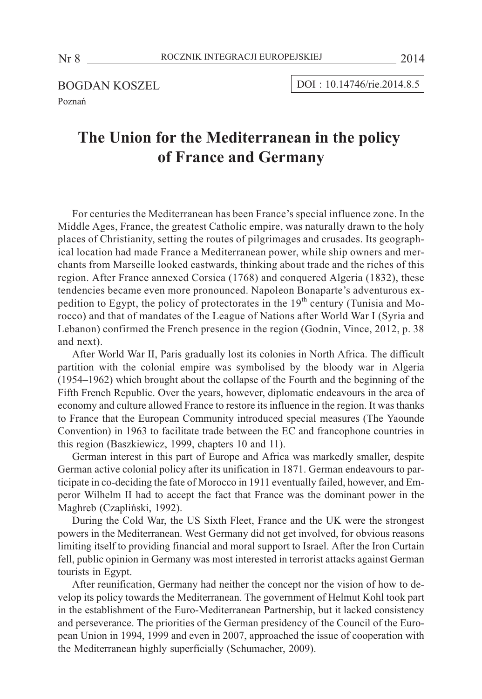BOGDAN KOSZEL Poznañ

DOI : 10.14746/rie.2014.8.5

# **The Union for the Mediterranean in the policy of France and Germany**

For centuries the Mediterranean has been France's special influence zone. In the Middle Ages, France, the greatest Catholic empire, was naturally drawn to the holy places of Christianity, setting the routes of pilgrimages and crusades. Its geographical location had made France a Mediterranean power, while ship owners and merchants from Marseille looked eastwards, thinking about trade and the riches of this region. After France annexed Corsica (1768) and conquered Algeria (1832), these tendencies became even more pronounced. Napoleon Bonaparte's adventurous expedition to Egypt, the policy of protectorates in the  $19<sup>th</sup>$  century (Tunisia and Morocco) and that of mandates of the League of Nations after World War I (Syria and Lebanon) confirmed the French presence in the region (Godnin, Vince, 2012, p. 38 and next).

After World War II, Paris gradually lost its colonies in North Africa. The difficult partition with the colonial empire was symbolised by the bloody war in Algeria (1954–1962) which brought about the collapse of the Fourth and the beginning of the Fifth French Republic. Over the years, however, diplomatic endeavours in the area of economy and culture allowed France to restore its influence in the region. It was thanks to France that the European Community introduced special measures (The Yaounde Convention) in 1963 to facilitate trade between the EC and francophone countries in this region (Baszkiewicz, 1999, chapters 10 and 11).

German interest in this part of Europe and Africa was markedly smaller, despite German active colonial policy after its unification in 1871. German endeavours to participate in co-deciding the fate of Morocco in 1911 eventually failed, however, and Emperor Wilhelm II had to accept the fact that France was the dominant power in the Maghreb (Czapliñski, 1992).

During the Cold War, the US Sixth Fleet, France and the UK were the strongest powers in the Mediterranean. West Germany did not get involved, for obvious reasons limiting itself to providing financial and moral support to Israel. After the Iron Curtain fell, public opinion in Germany was most interested in terrorist attacks against German tourists in Egypt.

After reunification, Germany had neither the concept nor the vision of how to develop its policy towards the Mediterranean. The government of Helmut Kohl took part in the establishment of the Euro-Mediterranean Partnership, but it lacked consistency and perseverance. The priorities of the German presidency of the Council of the European Union in 1994, 1999 and even in 2007, approached the issue of cooperation with the Mediterranean highly superficially (Schumacher, 2009).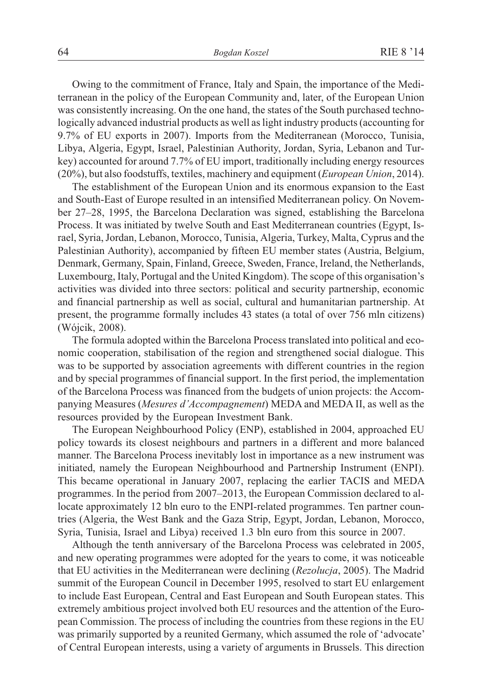Owing to the commitment of France, Italy and Spain, the importance of the Mediterranean in the policy of the European Community and, later, of the European Union was consistently increasing. On the one hand, the states of the South purchased technologically advanced industrial products as well as light industry products (accounting for 9.7% of EU exports in 2007). Imports from the Mediterranean (Morocco, Tunisia, Libya, Algeria, Egypt, Israel, Palestinian Authority, Jordan, Syria, Lebanon and Turkey) accounted for around 7.7% of EU import, traditionally including energy resources (20%), but also foodstuffs, textiles, machinery and equipment (*European Union*, 2014).

The establishment of the European Union and its enormous expansion to the East and South-East of Europe resulted in an intensified Mediterranean policy. On November 27–28, 1995, the Barcelona Declaration was signed, establishing the Barcelona Process. It was initiated by twelve South and East Mediterranean countries (Egypt, Israel, Syria, Jordan, Lebanon, Morocco, Tunisia, Algeria, Turkey, Malta, Cyprus and the Palestinian Authority), accompanied by fifteen EU member states (Austria, Belgium, Denmark, Germany, Spain, Finland, Greece, Sweden, France, Ireland, the Netherlands, Luxembourg, Italy, Portugal and the United Kingdom). The scope of this organisation's activities was divided into three sectors: political and security partnership, economic and financial partnership as well as social, cultural and humanitarian partnership. At present, the programme formally includes 43 states (a total of over 756 mln citizens) (Wójcik, 2008).

The formula adopted within the Barcelona Process translated into political and economic cooperation, stabilisation of the region and strengthened social dialogue. This was to be supported by association agreements with different countries in the region and by special programmes of financial support. In the first period, the implementation of the Barcelona Process was financed from the budgets of union projects: the Accompanying Measures (*Mesures d'Accompagnement*) MEDA and MEDA II, as well as the resources provided by the European Investment Bank.

The European Neighbourhood Policy (ENP), established in 2004, approached EU policy towards its closest neighbours and partners in a different and more balanced manner. The Barcelona Process inevitably lost in importance as a new instrument was initiated, namely the European Neighbourhood and Partnership Instrument (ENPI). This became operational in January 2007, replacing the earlier TACIS and MEDA programmes. In the period from 2007–2013, the European Commission declared to allocate approximately 12 bln euro to the ENPI-related programmes. Ten partner countries (Algeria, the West Bank and the Gaza Strip, Egypt, Jordan, Lebanon, Morocco, Syria, Tunisia, Israel and Libya) received 1.3 bln euro from this source in 2007.

Although the tenth anniversary of the Barcelona Process was celebrated in 2005, and new operating programmes were adopted for the years to come, it was noticeable that EU activities in the Mediterranean were declining (*Rezolucja*, 2005). The Madrid summit of the European Council in December 1995, resolved to start EU enlargement to include East European, Central and East European and South European states. This extremely ambitious project involved both EU resources and the attention of the European Commission. The process of including the countries from these regions in the EU was primarily supported by a reunited Germany, which assumed the role of 'advocate' of Central European interests, using a variety of arguments in Brussels. This direction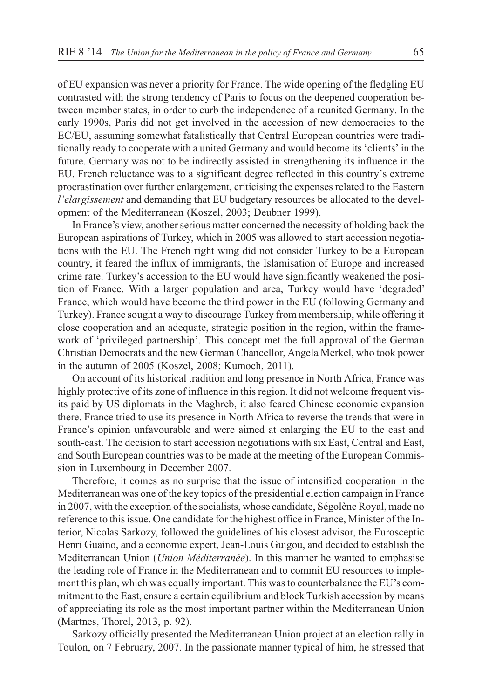of EU expansion was never a priority for France. The wide opening of the fledgling EU contrasted with the strong tendency of Paris to focus on the deepened cooperation between member states, in order to curb the independence of a reunited Germany. In the early 1990s, Paris did not get involved in the accession of new democracies to the EC/EU, assuming somewhat fatalistically that Central European countries were traditionally ready to cooperate with a united Germany and would become its 'clients' in the future. Germany was not to be indirectly assisted in strengthening its influence in the EU. French reluctance was to a significant degree reflected in this country's extreme procrastination over further enlargement, criticising the expenses related to the Eastern *l'elargissement* and demanding that EU budgetary resources be allocated to the development of the Mediterranean (Koszel, 2003; Deubner 1999).

In France's view, another serious matter concerned the necessity of holding back the European aspirations of Turkey, which in 2005 was allowed to start accession negotiations with the EU. The French right wing did not consider Turkey to be a European country, it feared the influx of immigrants, the Islamisation of Europe and increased crime rate. Turkey's accession to the EU would have significantly weakened the position of France. With a larger population and area, Turkey would have 'degraded' France, which would have become the third power in the EU (following Germany and Turkey). France sought a way to discourage Turkey from membership, while offering it close cooperation and an adequate, strategic position in the region, within the framework of 'privileged partnership'. This concept met the full approval of the German Christian Democrats and the new German Chancellor, Angela Merkel, who took power in the autumn of 2005 (Koszel, 2008; Kumoch, 2011).

On account of its historical tradition and long presence in North Africa, France was highly protective of its zone of influence in this region. It did not welcome frequent visits paid by US diplomats in the Maghreb, it also feared Chinese economic expansion there. France tried to use its presence in North Africa to reverse the trends that were in France's opinion unfavourable and were aimed at enlarging the EU to the east and south-east. The decision to start accession negotiations with six East, Central and East, and South European countries was to be made at the meeting of the European Commission in Luxembourg in December 2007.

Therefore, it comes as no surprise that the issue of intensified cooperation in the Mediterranean was one of the key topics of the presidential election campaign in France in 2007, with the exception of the socialists, whose candidate, Ségolène Royal, made no reference to this issue. One candidate for the highest office in France, Minister of the Interior, Nicolas Sarkozy, followed the guidelines of his closest advisor, the Eurosceptic Henri Guaino, and a economic expert, Jean-Louis Guigou, and decided to establish the Mediterranean Union (*Union Méditerranée*). In this manner he wanted to emphasise the leading role of France in the Mediterranean and to commit EU resources to implement this plan, which was equally important. This was to counterbalance the EU's commitment to the East, ensure a certain equilibrium and block Turkish accession by means of appreciating its role as the most important partner within the Mediterranean Union (Martnes, Thorel, 2013, p. 92).

Sarkozy officially presented the Mediterranean Union project at an election rally in Toulon, on 7 February, 2007. In the passionate manner typical of him, he stressed that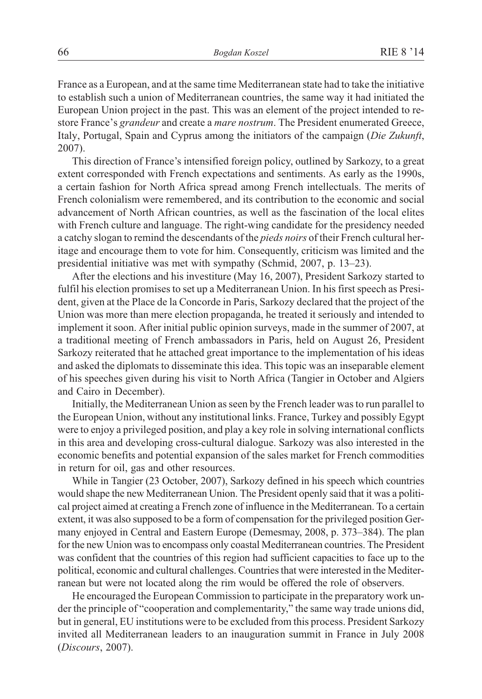France as a European, and at the same time Mediterranean state had to take the initiative to establish such a union of Mediterranean countries, the same way it had initiated the European Union project in the past. This was an element of the project intended to restore France's *grandeur* and create a *mare nostrum*. The President enumerated Greece, Italy, Portugal, Spain and Cyprus among the initiators of the campaign (*Die Zukunft*, 2007).

This direction of France's intensified foreign policy, outlined by Sarkozy, to a great extent corresponded with French expectations and sentiments. As early as the 1990s, a certain fashion for North Africa spread among French intellectuals. The merits of French colonialism were remembered, and its contribution to the economic and social advancement of North African countries, as well as the fascination of the local elites with French culture and language. The right-wing candidate for the presidency needed a catchy slogan to remind the descendants of the *pieds noirs* of their French cultural heritage and encourage them to vote for him. Consequently, criticism was limited and the presidential initiative was met with sympathy (Schmid, 2007, p. 13–23).

After the elections and his investiture (May 16, 2007), President Sarkozy started to fulfil his election promises to set up a Mediterranean Union. In his first speech as President, given at the Place de la Concorde in Paris, Sarkozy declared that the project of the Union was more than mere election propaganda, he treated it seriously and intended to implement it soon. After initial public opinion surveys, made in the summer of 2007, at a traditional meeting of French ambassadors in Paris, held on August 26, President Sarkozy reiterated that he attached great importance to the implementation of his ideas and asked the diplomats to disseminate this idea. This topic was an inseparable element of his speeches given during his visit to North Africa (Tangier in October and Algiers and Cairo in December).

Initially, the Mediterranean Union as seen by the French leader was to run parallel to the European Union, without any institutional links. France, Turkey and possibly Egypt were to enjoy a privileged position, and play a key role in solving international conflicts in this area and developing cross-cultural dialogue. Sarkozy was also interested in the economic benefits and potential expansion of the sales market for French commodities in return for oil, gas and other resources.

While in Tangier (23 October, 2007), Sarkozy defined in his speech which countries would shape the new Mediterranean Union. The President openly said that it was a political project aimed at creating a French zone of influence in the Mediterranean. To a certain extent, it was also supposed to be a form of compensation for the privileged position Germany enjoyed in Central and Eastern Europe (Demesmay, 2008, p. 373–384). The plan for the new Union was to encompass only coastal Mediterranean countries. The President was confident that the countries of this region had sufficient capacities to face up to the political, economic and cultural challenges. Countries that were interested in the Mediterranean but were not located along the rim would be offered the role of observers.

He encouraged the European Commission to participate in the preparatory work under the principle of "cooperation and complementarity," the same way trade unions did, but in general, EU institutions were to be excluded from this process. President Sarkozy invited all Mediterranean leaders to an inauguration summit in France in July 2008 (*Discours*, 2007).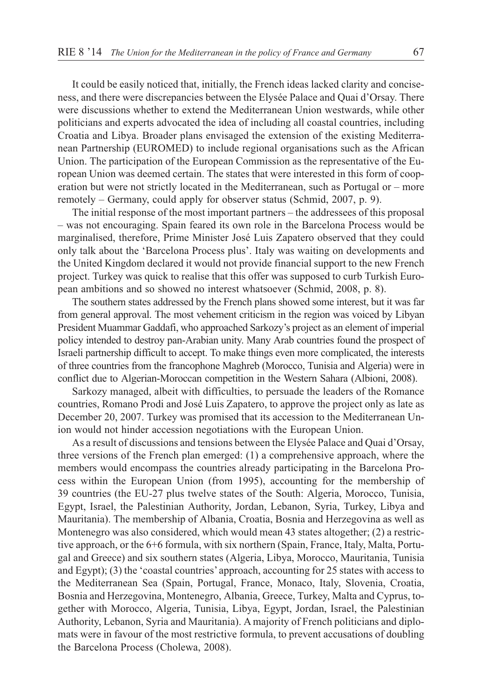It could be easily noticed that, initially, the French ideas lacked clarity and conciseness, and there were discrepancies between the Elysée Palace and Quai d'Orsay. There were discussions whether to extend the Mediterranean Union westwards, while other politicians and experts advocated the idea of including all coastal countries, including Croatia and Libya. Broader plans envisaged the extension of the existing Mediterranean Partnership (EUROMED) to include regional organisations such as the African Union. The participation of the European Commission as the representative of the European Union was deemed certain. The states that were interested in this form of cooperation but were not strictly located in the Mediterranean, such as Portugal or – more remotely – Germany, could apply for observer status (Schmid, 2007, p. 9).

The initial response of the most important partners – the addressees of this proposal – was not encouraging. Spain feared its own role in the Barcelona Process would be marginalised, therefore, Prime Minister José Luis Zapatero observed that they could only talk about the 'Barcelona Process plus'. Italy was waiting on developments and the United Kingdom declared it would not provide financial support to the new French project. Turkey was quick to realise that this offer was supposed to curb Turkish European ambitions and so showed no interest whatsoever (Schmid, 2008, p. 8).

The southern states addressed by the French plans showed some interest, but it was far from general approval. The most vehement criticism in the region was voiced by Libyan President Muammar Gaddafi, who approached Sarkozy's project as an element of imperial policy intended to destroy pan-Arabian unity. Many Arab countries found the prospect of Israeli partnership difficult to accept. To make things even more complicated, the interests of three countries from the francophone Maghreb (Morocco, Tunisia and Algeria) were in conflict due to Algerian-Moroccan competition in the Western Sahara (Albioni, 2008).

Sarkozy managed, albeit with difficulties, to persuade the leaders of the Romance countries, Romano Prodi and José Luis Zapatero, to approve the project only as late as December 20, 2007. Turkey was promised that its accession to the Mediterranean Union would not hinder accession negotiations with the European Union.

As a result of discussions and tensions between the Elysée Palace and Quai d'Orsay, three versions of the French plan emerged: (1) a comprehensive approach, where the members would encompass the countries already participating in the Barcelona Process within the European Union (from 1995), accounting for the membership of 39 countries (the EU-27 plus twelve states of the South: Algeria, Morocco, Tunisia, Egypt, Israel, the Palestinian Authority, Jordan, Lebanon, Syria, Turkey, Libya and Mauritania). The membership of Albania, Croatia, Bosnia and Herzegovina as well as Montenegro was also considered, which would mean 43 states altogether; (2) a restrictive approach, or the 6+6 formula, with six northern (Spain, France, Italy, Malta, Portugal and Greece) and six southern states (Algeria, Libya, Morocco, Mauritania, Tunisia and Egypt); (3) the 'coastal countries' approach, accounting for 25 states with access to the Mediterranean Sea (Spain, Portugal, France, Monaco, Italy, Slovenia, Croatia, Bosnia and Herzegovina, Montenegro, Albania, Greece, Turkey, Malta and Cyprus, together with Morocco, Algeria, Tunisia, Libya, Egypt, Jordan, Israel, the Palestinian Authority, Lebanon, Syria and Mauritania). A majority of French politicians and diplomats were in favour of the most restrictive formula, to prevent accusations of doubling the Barcelona Process (Cholewa, 2008).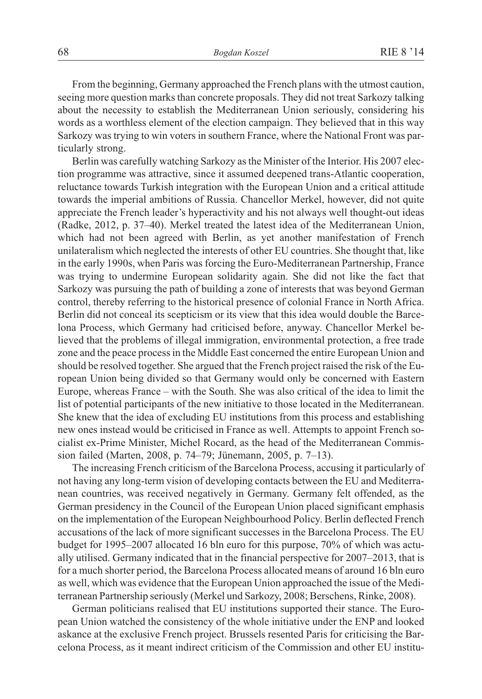From the beginning, Germany approached the French plans with the utmost caution, seeing more question marks than concrete proposals. They did not treat Sarkozy talking about the necessity to establish the Mediterranean Union seriously, considering his words as a worthless element of the election campaign. They believed that in this way Sarkozy was trying to win voters in southern France, where the National Front was particularly strong.

Berlin was carefully watching Sarkozy as the Minister of the Interior. His 2007 election programme was attractive, since it assumed deepened trans-Atlantic cooperation, reluctance towards Turkish integration with the European Union and a critical attitude towards the imperial ambitions of Russia. Chancellor Merkel, however, did not quite appreciate the French leader's hyperactivity and his not always well thought-out ideas (Radke, 2012, p. 37–40). Merkel treated the latest idea of the Mediterranean Union, which had not been agreed with Berlin, as yet another manifestation of French unilateralism which neglected the interests of other EU countries. She thought that, like in the early 1990s, when Paris was forcing the Euro-Mediterranean Partnership, France was trying to undermine European solidarity again. She did not like the fact that Sarkozy was pursuing the path of building a zone of interests that was beyond German control, thereby referring to the historical presence of colonial France in North Africa. Berlin did not conceal its scepticism or its view that this idea would double the Barcelona Process, which Germany had criticised before, anyway. Chancellor Merkel believed that the problems of illegal immigration, environmental protection, a free trade zone and the peace process in the Middle East concerned the entire European Union and should be resolved together. She argued that the French project raised the risk of the European Union being divided so that Germany would only be concerned with Eastern Europe, whereas France – with the South. She was also critical of the idea to limit the list of potential participants of the new initiative to those located in the Mediterranean. She knew that the idea of excluding EU institutions from this process and establishing new ones instead would be criticised in France as well. Attempts to appoint French socialist ex-Prime Minister, Michel Rocard, as the head of the Mediterranean Commission failed (Marten, 2008, p. 74–79; Jünemann, 2005, p. 7–13).

The increasing French criticism of the Barcelona Process, accusing it particularly of not having any long-term vision of developing contacts between the EU and Mediterranean countries, was received negatively in Germany. Germany felt offended, as the German presidency in the Council of the European Union placed significant emphasis on the implementation of the European Neighbourhood Policy. Berlin deflected French accusations of the lack of more significant successes in the Barcelona Process. The EU budget for 1995–2007 allocated 16 bln euro for this purpose, 70% of which was actually utilised. Germany indicated that in the financial perspective for 2007–2013, that is for a much shorter period, the Barcelona Process allocated means of around 16 bln euro as well, which was evidence that the European Union approached the issue of the Mediterranean Partnership seriously (Merkel und Sarkozy, 2008; Berschens, Rinke, 2008).

German politicians realised that EU institutions supported their stance. The European Union watched the consistency of the whole initiative under the ENP and looked askance at the exclusive French project. Brussels resented Paris for criticising the Barcelona Process, as it meant indirect criticism of the Commission and other EU institu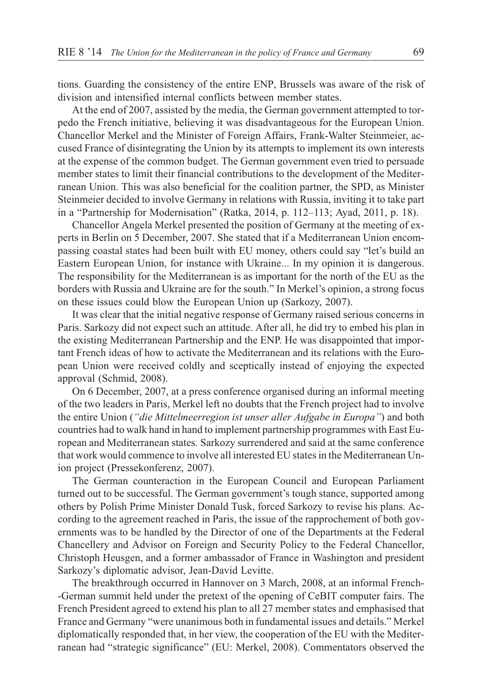tions. Guarding the consistency of the entire ENP, Brussels was aware of the risk of division and intensified internal conflicts between member states.

At the end of 2007, assisted by the media, the German government attempted to torpedo the French initiative, believing it was disadvantageous for the European Union. Chancellor Merkel and the Minister of Foreign Affairs, Frank-Walter Steinmeier, accused France of disintegrating the Union by its attempts to implement its own interests at the expense of the common budget. The German government even tried to persuade member states to limit their financial contributions to the development of the Mediterranean Union. This was also beneficial for the coalition partner, the SPD, as Minister Steinmeier decided to involve Germany in relations with Russia, inviting it to take part in a "Partnership for Modernisation" (Ratka, 2014, p. 112–113; Ayad, 2011, p. 18).

Chancellor Angela Merkel presented the position of Germany at the meeting of experts in Berlin on 5 December, 2007. She stated that if a Mediterranean Union encompassing coastal states had been built with EU money, others could say "let's build an Eastern European Union, for instance with Ukraine... In my opinion it is dangerous. The responsibility for the Mediterranean is as important for the north of the EU as the borders with Russia and Ukraine are for the south." In Merkel's opinion, a strong focus on these issues could blow the European Union up (Sarkozy, 2007).

It was clear that the initial negative response of Germany raised serious concerns in Paris. Sarkozy did not expect such an attitude. After all, he did try to embed his plan in the existing Mediterranean Partnership and the ENP. He was disappointed that important French ideas of how to activate the Mediterranean and its relations with the European Union were received coldly and sceptically instead of enjoying the expected approval (Schmid, 2008).

On 6 December, 2007, at a press conference organised during an informal meeting of the two leaders in Paris, Merkel left no doubts that the French project had to involve the entire Union (*"die Mittelmeerregion ist unser aller Aufgabe in Europa"*) and both countries had to walk hand in hand to implement partnership programmes with East European and Mediterranean states. Sarkozy surrendered and said at the same conference that work would commence to involve all interested EU states in the Mediterranean Union project (Pressekonferenz, 2007).

The German counteraction in the European Council and European Parliament turned out to be successful. The German government's tough stance, supported among others by Polish Prime Minister Donald Tusk, forced Sarkozy to revise his plans. According to the agreement reached in Paris, the issue of the rapprochement of both governments was to be handled by the Director of one of the Departments at the Federal Chancellery and Advisor on Foreign and Security Policy to the Federal Chancellor, Christoph Heusgen, and a former ambassador of France in Washington and president Sarkozy's diplomatic advisor, Jean-David Levitte.

The breakthrough occurred in Hannover on 3 March, 2008, at an informal French- -German summit held under the pretext of the opening of CeBIT computer fairs. The French President agreed to extend his plan to all 27 member states and emphasised that France and Germany "were unanimous both in fundamental issues and details." Merkel diplomatically responded that, in her view, the cooperation of the EU with the Mediterranean had "strategic significance" (EU: Merkel, 2008). Commentators observed the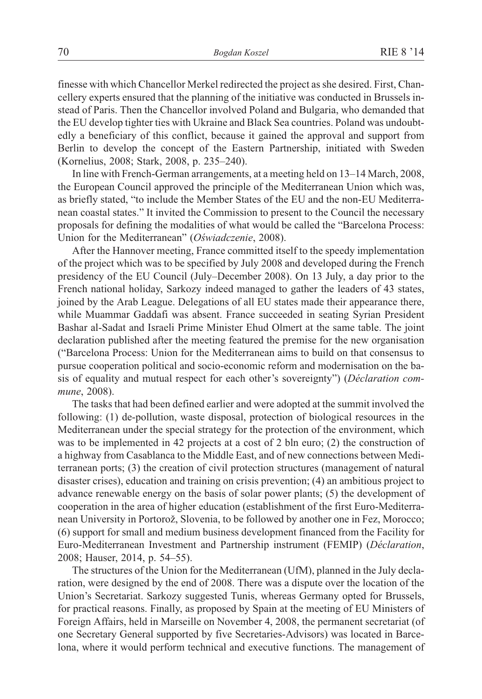finesse with which Chancellor Merkel redirected the project as she desired. First, Chancellery experts ensured that the planning of the initiative was conducted in Brussels instead of Paris. Then the Chancellor involved Poland and Bulgaria, who demanded that the EU develop tighter ties with Ukraine and Black Sea countries. Poland was undoubtedly a beneficiary of this conflict, because it gained the approval and support from Berlin to develop the concept of the Eastern Partnership, initiated with Sweden (Kornelius, 2008; Stark, 2008, p. 235–240).

In line with French-German arrangements, at a meeting held on 13–14 March, 2008, the European Council approved the principle of the Mediterranean Union which was, as briefly stated, "to include the Member States of the EU and the non-EU Mediterranean coastal states." It invited the Commission to present to the Council the necessary proposals for defining the modalities of what would be called the "Barcelona Process: Union for the Mediterranean" (Oświadczenie, 2008).

After the Hannover meeting, France committed itself to the speedy implementation of the project which was to be specified by July 2008 and developed during the French presidency of the EU Council (July–December 2008). On 13 July, a day prior to the French national holiday, Sarkozy indeed managed to gather the leaders of 43 states, joined by the Arab League. Delegations of all EU states made their appearance there, while Muammar Gaddafi was absent. France succeeded in seating Syrian President Bashar al-Sadat and Israeli Prime Minister Ehud Olmert at the same table. The joint declaration published after the meeting featured the premise for the new organisation ("Barcelona Process: Union for the Mediterranean aims to build on that consensus to pursue cooperation political and socio-economic reform and modernisation on the basis of equality and mutual respect for each other's sovereignty") (*Déclaration commune*, 2008).

The tasks that had been defined earlier and were adopted at the summit involved the following: (1) de-pollution, waste disposal, protection of biological resources in the Mediterranean under the special strategy for the protection of the environment, which was to be implemented in 42 projects at a cost of 2 bln euro; (2) the construction of a highway from Casablanca to the Middle East, and of new connections between Mediterranean ports; (3) the creation of civil protection structures (management of natural disaster crises), education and training on crisis prevention; (4) an ambitious project to advance renewable energy on the basis of solar power plants; (5) the development of cooperation in the area of higher education (establishment of the first Euro-Mediterranean University in Portorož, Slovenia, to be followed by another one in Fez, Morocco; (6) support for small and medium business development financed from the Facility for Euro-Mediterranean Investment and Partnership instrument (FEMIP) (*Déclaration*, 2008; Hauser, 2014, p. 54–55).

The structures of the Union for the Mediterranean (UfM), planned in the July declaration, were designed by the end of 2008. There was a dispute over the location of the Union's Secretariat. Sarkozy suggested Tunis, whereas Germany opted for Brussels, for practical reasons. Finally, as proposed by Spain at the meeting of EU Ministers of Foreign Affairs, held in Marseille on November 4, 2008, the permanent secretariat (of one Secretary General supported by five Secretaries-Advisors) was located in Barcelona, where it would perform technical and executive functions. The management of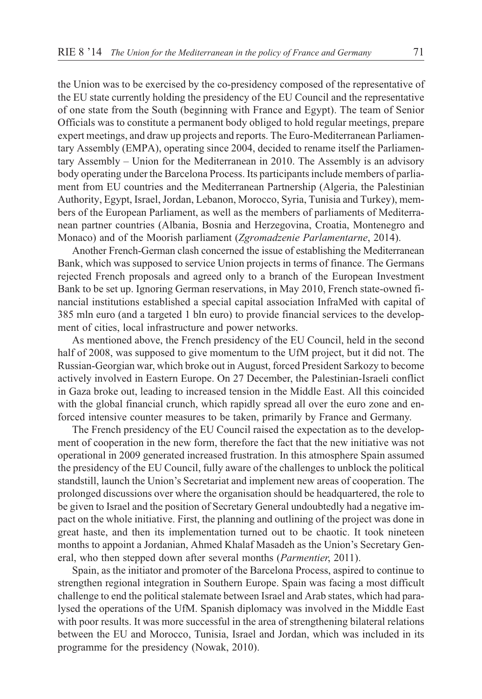the Union was to be exercised by the co-presidency composed of the representative of the EU state currently holding the presidency of the EU Council and the representative of one state from the South (beginning with France and Egypt). The team of Senior Officials was to constitute a permanent body obliged to hold regular meetings, prepare expert meetings, and draw up projects and reports. The Euro-Mediterranean Parliamentary Assembly (EMPA), operating since 2004, decided to rename itself the Parliamentary Assembly – Union for the Mediterranean in 2010. The Assembly is an advisory body operating under the Barcelona Process. Its participants include members of parliament from EU countries and the Mediterranean Partnership (Algeria, the Palestinian Authority, Egypt, Israel, Jordan, Lebanon, Morocco, Syria, Tunisia and Turkey), members of the European Parliament, as well as the members of parliaments of Mediterranean partner countries (Albania, Bosnia and Herzegovina, Croatia, Montenegro and Monaco) and of the Moorish parliament (*Zgromadzenie Parlamentarne*, 2014).

Another French-German clash concerned the issue of establishing the Mediterranean Bank, which was supposed to service Union projects in terms of finance. The Germans rejected French proposals and agreed only to a branch of the European Investment Bank to be set up. Ignoring German reservations, in May 2010, French state-owned financial institutions established a special capital association InfraMed with capital of 385 mln euro (and a targeted 1 bln euro) to provide financial services to the development of cities, local infrastructure and power networks.

As mentioned above, the French presidency of the EU Council, held in the second half of 2008, was supposed to give momentum to the UfM project, but it did not. The Russian-Georgian war, which broke out in August, forced President Sarkozy to become actively involved in Eastern Europe. On 27 December, the Palestinian-Israeli conflict in Gaza broke out, leading to increased tension in the Middle East. All this coincided with the global financial crunch, which rapidly spread all over the euro zone and enforced intensive counter measures to be taken, primarily by France and Germany.

The French presidency of the EU Council raised the expectation as to the development of cooperation in the new form, therefore the fact that the new initiative was not operational in 2009 generated increased frustration. In this atmosphere Spain assumed the presidency of the EU Council, fully aware of the challenges to unblock the political standstill, launch the Union's Secretariat and implement new areas of cooperation. The prolonged discussions over where the organisation should be headquartered, the role to be given to Israel and the position of Secretary General undoubtedly had a negative impact on the whole initiative. First, the planning and outlining of the project was done in great haste, and then its implementation turned out to be chaotic. It took nineteen months to appoint a Jordanian, Ahmed Khalaf Masadeh as the Union's Secretary General, who then stepped down after several months (*Parmentier*, 2011).

Spain, as the initiator and promoter of the Barcelona Process, aspired to continue to strengthen regional integration in Southern Europe. Spain was facing a most difficult challenge to end the political stalemate between Israel and Arab states, which had paralysed the operations of the UfM. Spanish diplomacy was involved in the Middle East with poor results. It was more successful in the area of strengthening bilateral relations between the EU and Morocco, Tunisia, Israel and Jordan, which was included in its programme for the presidency (Nowak, 2010).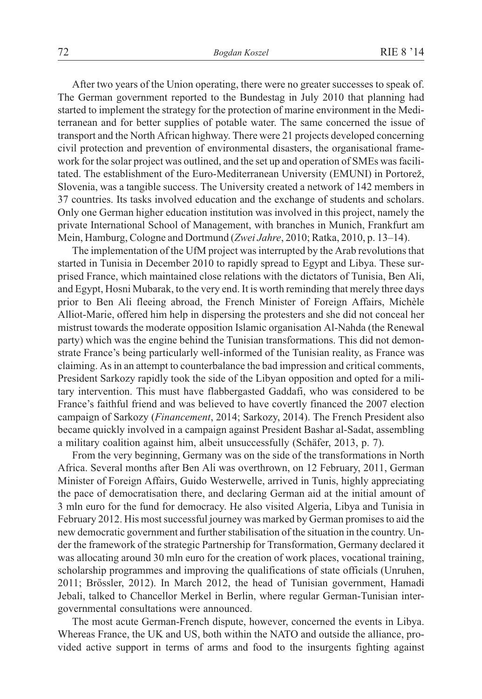After two years of the Union operating, there were no greater successes to speak of. The German government reported to the Bundestag in July 2010 that planning had started to implement the strategy for the protection of marine environment in the Mediterranean and for better supplies of potable water. The same concerned the issue of transport and the North African highway. There were 21 projects developed concerning civil protection and prevention of environmental disasters, the organisational framework for the solar project was outlined, and the set up and operation of SMEs was facilitated. The establishment of the Euro-Mediterranean University (EMUNI) in Portorež, Slovenia, was a tangible success. The University created a network of 142 members in 37 countries. Its tasks involved education and the exchange of students and scholars. Only one German higher education institution was involved in this project, namely the private International School of Management, with branches in Munich, Frankfurt am Mein, Hamburg, Cologne and Dortmund (*Zwei Jahre*, 2010; Ratka, 2010, p. 13–14).

The implementation of the UfM project was interrupted by the Arab revolutions that started in Tunisia in December 2010 to rapidly spread to Egypt and Libya. These surprised France, which maintained close relations with the dictators of Tunisia, Ben Ali, and Egypt, Hosni Mubarak, to the very end. It is worth reminding that merely three days prior to Ben Ali fleeing abroad, the French Minister of Foreign Affairs, Michèle Alliot-Marie, offered him help in dispersing the protesters and she did not conceal her mistrust towards the moderate opposition Islamic organisation Al-Nahda (the Renewal party) which was the engine behind the Tunisian transformations. This did not demonstrate France's being particularly well-informed of the Tunisian reality, as France was claiming. As in an attempt to counterbalance the bad impression and critical comments, President Sarkozy rapidly took the side of the Libyan opposition and opted for a military intervention. This must have flabbergasted Gaddafi, who was considered to be France's faithful friend and was believed to have covertly financed the 2007 election campaign of Sarkozy (*Financement*, 2014; Sarkozy, 2014). The French President also became quickly involved in a campaign against President Bashar al-Sadat, assembling a military coalition against him, albeit unsuccessfully (Schäfer, 2013, p. 7).

From the very beginning, Germany was on the side of the transformations in North Africa. Several months after Ben Ali was overthrown, on 12 February, 2011, German Minister of Foreign Affairs, Guido Westerwelle, arrived in Tunis, highly appreciating the pace of democratisation there, and declaring German aid at the initial amount of 3 mln euro for the fund for democracy. He also visited Algeria, Libya and Tunisia in February 2012. His most successful journey was marked by German promises to aid the new democratic government and further stabilisation of the situation in the country. Under the framework of the strategic Partnership for Transformation, Germany declared it was allocating around 30 mln euro for the creation of work places, vocational training, scholarship programmes and improving the qualifications of state officials (Unruhen, 2011; Brõssler, 2012). In March 2012, the head of Tunisian government, Hamadi Jebali, talked to Chancellor Merkel in Berlin, where regular German-Tunisian intergovernmental consultations were announced.

The most acute German-French dispute, however, concerned the events in Libya. Whereas France, the UK and US, both within the NATO and outside the alliance, provided active support in terms of arms and food to the insurgents fighting against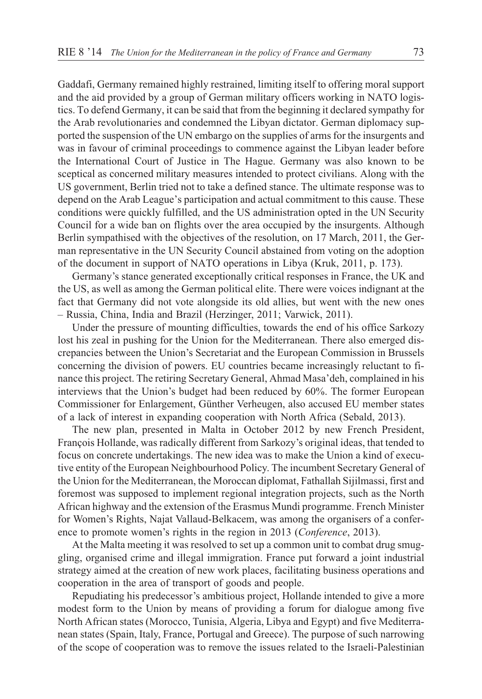Gaddafi, Germany remained highly restrained, limiting itself to offering moral support and the aid provided by a group of German military officers working in NATO logistics. To defend Germany, it can be said that from the beginning it declared sympathy for the Arab revolutionaries and condemned the Libyan dictator. German diplomacy supported the suspension of the UN embargo on the supplies of arms for the insurgents and was in favour of criminal proceedings to commence against the Libyan leader before the International Court of Justice in The Hague. Germany was also known to be sceptical as concerned military measures intended to protect civilians. Along with the US government, Berlin tried not to take a defined stance. The ultimate response was to depend on the Arab League's participation and actual commitment to this cause. These conditions were quickly fulfilled, and the US administration opted in the UN Security Council for a wide ban on flights over the area occupied by the insurgents. Although Berlin sympathised with the objectives of the resolution, on 17 March, 2011, the German representative in the UN Security Council abstained from voting on the adoption of the document in support of NATO operations in Libya (Kruk, 2011, p. 173).

Germany's stance generated exceptionally critical responses in France, the UK and the US, as well as among the German political elite. There were voices indignant at the fact that Germany did not vote alongside its old allies, but went with the new ones – Russia, China, India and Brazil (Herzinger, 2011; Varwick, 2011).

Under the pressure of mounting difficulties, towards the end of his office Sarkozy lost his zeal in pushing for the Union for the Mediterranean. There also emerged discrepancies between the Union's Secretariat and the European Commission in Brussels concerning the division of powers. EU countries became increasingly reluctant to finance this project. The retiring Secretary General, Ahmad Masa'deh, complained in his interviews that the Union's budget had been reduced by 60%. The former European Commissioner for Enlargement, Günther Verheugen, also accused EU member states of a lack of interest in expanding cooperation with North Africa (Sebald, 2013).

The new plan, presented in Malta in October 2012 by new French President, François Hollande, was radically different from Sarkozy's original ideas, that tended to focus on concrete undertakings. The new idea was to make the Union a kind of executive entity of the European Neighbourhood Policy. The incumbent Secretary General of the Union for the Mediterranean, the Moroccan diplomat, Fathallah Sijilmassi, first and foremost was supposed to implement regional integration projects, such as the North African highway and the extension of the Erasmus Mundi programme. French Minister for Women's Rights, Najat Vallaud-Belkacem, was among the organisers of a conference to promote women's rights in the region in 2013 (*Conference*, 2013).

At the Malta meeting it was resolved to set up a common unit to combat drug smuggling, organised crime and illegal immigration. France put forward a joint industrial strategy aimed at the creation of new work places, facilitating business operations and cooperation in the area of transport of goods and people.

Repudiating his predecessor's ambitious project, Hollande intended to give a more modest form to the Union by means of providing a forum for dialogue among five North African states (Morocco, Tunisia, Algeria, Libya and Egypt) and five Mediterranean states (Spain, Italy, France, Portugal and Greece). The purpose of such narrowing of the scope of cooperation was to remove the issues related to the Israeli-Palestinian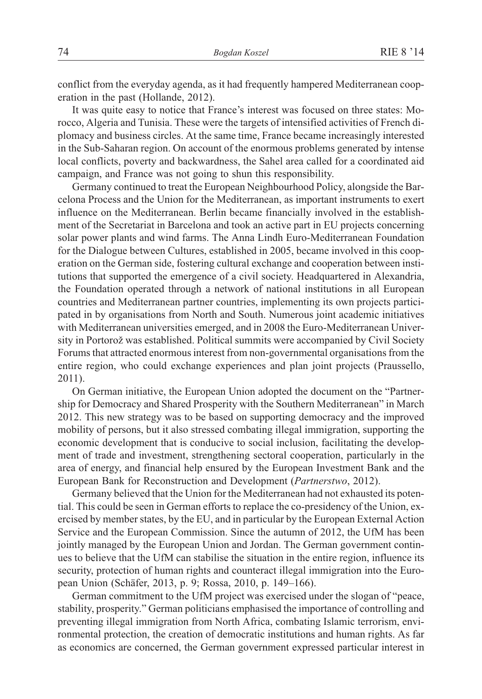conflict from the everyday agenda, as it had frequently hampered Mediterranean cooperation in the past (Hollande, 2012).

It was quite easy to notice that France's interest was focused on three states: Morocco, Algeria and Tunisia. These were the targets of intensified activities of French diplomacy and business circles. At the same time, France became increasingly interested in the Sub-Saharan region. On account of the enormous problems generated by intense local conflicts, poverty and backwardness, the Sahel area called for a coordinated aid campaign, and France was not going to shun this responsibility.

Germany continued to treat the European Neighbourhood Policy, alongside the Barcelona Process and the Union for the Mediterranean, as important instruments to exert influence on the Mediterranean. Berlin became financially involved in the establishment of the Secretariat in Barcelona and took an active part in EU projects concerning solar power plants and wind farms. The Anna Lindh Euro-Mediterranean Foundation for the Dialogue between Cultures, established in 2005, became involved in this cooperation on the German side, fostering cultural exchange and cooperation between institutions that supported the emergence of a civil society. Headquartered in Alexandria, the Foundation operated through a network of national institutions in all European countries and Mediterranean partner countries, implementing its own projects participated in by organisations from North and South. Numerous joint academic initiatives with Mediterranean universities emerged, and in 2008 the Euro-Mediterranean University in Portorož was established. Political summits were accompanied by Civil Society Forums that attracted enormous interest from non-governmental organisations from the entire region, who could exchange experiences and plan joint projects (Praussello, 2011).

On German initiative, the European Union adopted the document on the "Partnership for Democracy and Shared Prosperity with the Southern Mediterranean" in March 2012. This new strategy was to be based on supporting democracy and the improved mobility of persons, but it also stressed combating illegal immigration, supporting the economic development that is conducive to social inclusion, facilitating the development of trade and investment, strengthening sectoral cooperation, particularly in the area of energy, and financial help ensured by the European Investment Bank and the European Bank for Reconstruction and Development (*Partnerstwo*, 2012).

Germany believed that the Union for the Mediterranean had not exhausted its potential. This could be seen in German efforts to replace the co-presidency of the Union, exercised by member states, by the EU, and in particular by the European External Action Service and the European Commission. Since the autumn of 2012, the UfM has been jointly managed by the European Union and Jordan. The German government continues to believe that the UfM can stabilise the situation in the entire region, influence its security, protection of human rights and counteract illegal immigration into the European Union (Schäfer, 2013, p. 9; Rossa, 2010, p. 149–166).

German commitment to the UfM project was exercised under the slogan of "peace, stability, prosperity." German politicians emphasised the importance of controlling and preventing illegal immigration from North Africa, combating Islamic terrorism, environmental protection, the creation of democratic institutions and human rights. As far as economics are concerned, the German government expressed particular interest in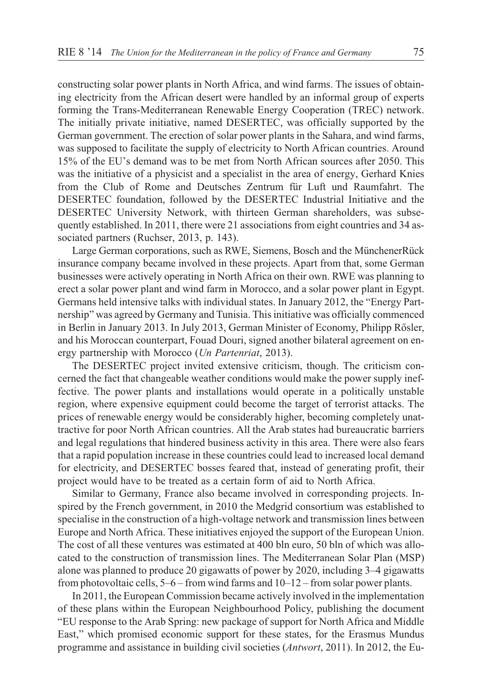constructing solar power plants in North Africa, and wind farms. The issues of obtaining electricity from the African desert were handled by an informal group of experts forming the Trans-Mediterranean Renewable Energy Cooperation (TREC) network. The initially private initiative, named DESERTEC, was officially supported by the German government. The erection of solar power plants in the Sahara, and wind farms, was supposed to facilitate the supply of electricity to North African countries. Around 15% of the EU's demand was to be met from North African sources after 2050. This was the initiative of a physicist and a specialist in the area of energy, Gerhard Knies from the Club of Rome and Deutsches Zentrum für Luft und Raumfahrt. The DESERTEC foundation, followed by the DESERTEC Industrial Initiative and the DESERTEC University Network, with thirteen German shareholders, was subsequently established. In 2011, there were 21 associations from eight countries and 34 associated partners (Ruchser, 2013, p. 143).

Large German corporations, such as RWE, Siemens, Bosch and the MünchenerRück insurance company became involved in these projects. Apart from that, some German businesses were actively operating in North Africa on their own. RWE was planning to erect a solar power plant and wind farm in Morocco, and a solar power plant in Egypt. Germans held intensive talks with individual states. In January 2012, the "Energy Partnership" was agreed by Germany and Tunisia. This initiative was officially commenced in Berlin in January 2013. In July 2013, German Minister of Economy, Philipp Rõsler, and his Moroccan counterpart, Fouad Douri, signed another bilateral agreement on energy partnership with Morocco (*Un Partenriat*, 2013).

The DESERTEC project invited extensive criticism, though. The criticism concerned the fact that changeable weather conditions would make the power supply ineffective. The power plants and installations would operate in a politically unstable region, where expensive equipment could become the target of terrorist attacks. The prices of renewable energy would be considerably higher, becoming completely unattractive for poor North African countries. All the Arab states had bureaucratic barriers and legal regulations that hindered business activity in this area. There were also fears that a rapid population increase in these countries could lead to increased local demand for electricity, and DESERTEC bosses feared that, instead of generating profit, their project would have to be treated as a certain form of aid to North Africa.

Similar to Germany, France also became involved in corresponding projects. Inspired by the French government, in 2010 the Medgrid consortium was established to specialise in the construction of a high-voltage network and transmission lines between Europe and North Africa. These initiatives enjoyed the support of the European Union. The cost of all these ventures was estimated at 400 bln euro, 50 bln of which was allocated to the construction of transmission lines. The Mediterranean Solar Plan (MSP) alone was planned to produce 20 gigawatts of power by 2020, including 3–4 gigawatts from photovoltaic cells, 5–6 – from wind farms and 10–12 – from solar power plants.

In 2011, the European Commission became actively involved in the implementation of these plans within the European Neighbourhood Policy, publishing the document "EU response to the Arab Spring: new package of support for North Africa and Middle East," which promised economic support for these states, for the Erasmus Mundus programme and assistance in building civil societies (*Antwort*, 2011). In 2012, the Eu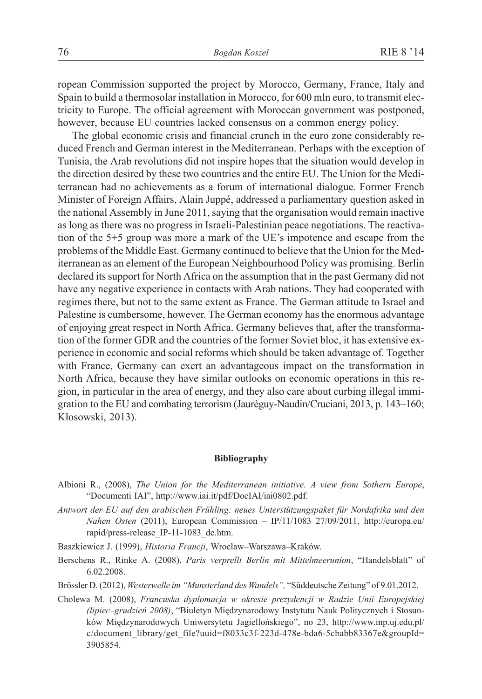ropean Commission supported the project by Morocco, Germany, France, Italy and Spain to build a thermosolar installation in Morocco, for 600 mln euro, to transmit electricity to Europe. The official agreement with Moroccan government was postponed, however, because EU countries lacked consensus on a common energy policy.

The global economic crisis and financial crunch in the euro zone considerably reduced French and German interest in the Mediterranean. Perhaps with the exception of Tunisia, the Arab revolutions did not inspire hopes that the situation would develop in the direction desired by these two countries and the entire EU. The Union for the Mediterranean had no achievements as a forum of international dialogue. Former French Minister of Foreign Affairs, Alain Juppé, addressed a parliamentary question asked in the national Assembly in June 2011, saying that the organisation would remain inactive as long as there was no progress in Israeli-Palestinian peace negotiations. The reactivation of the 5+5 group was more a mark of the UE's impotence and escape from the problems of the Middle East. Germany continued to believe that the Union for the Mediterranean as an element of the European Neighbourhood Policy was promising. Berlin declared its support for North Africa on the assumption that in the past Germany did not have any negative experience in contacts with Arab nations. They had cooperated with regimes there, but not to the same extent as France. The German attitude to Israel and Palestine is cumbersome, however. The German economy has the enormous advantage of enjoying great respect in North Africa. Germany believes that, after the transformation of the former GDR and the countries of the former Soviet bloc, it has extensive experience in economic and social reforms which should be taken advantage of. Together with France, Germany can exert an advantageous impact on the transformation in North Africa, because they have similar outlooks on economic operations in this region, in particular in the area of energy, and they also care about curbing illegal immigration to the EU and combating terrorism (Jauréguy-Naudin/Cruciani, 2013, p. 143–160; Kłosowski, 2013).

#### **Bibliography**

- Albioni R., (2008), *The Union for the Mediterranean initiative. A view from Sothern Europe*, "Documenti IAI", http://www.iai.it/pdf/DocIAI/iai0802.pdf.
- *Antwort der EU auf den arabischen Frühling: neues Unterstützungspaket für Nordafrika und den Nahen Osten* (2011), European Commission – IP/11/1083 27/09/2011, http://europa.eu/ rapid/press-release\_IP-11-1083\_de.htm.
- Baszkiewicz J. (1999), *Historia Francji*, Wrocław-Warszawa-Kraków.
- Berschens R., Rinke A. (2008), *Paris verprellt Berlin mit Mittelmeerunion*, "Handelsblatt" of 6.02.2008.
- Brössler D. (2012), *Westerwelle im "Munsterland des Wandels",* "Sûddeutsche Zeitung" of 9.01.2012.
- Cholewa M. (2008), *Francuska dyplomacja w okresie prezydencji w Radzie Unii Europejskiej (lipiec–grudzieñ 2008)*, "Biuletyn Miêdzynarodowy Instytutu Nauk Politycznych i Stosunków Miêdzynarodowych Uniwersytetu Jagielloñskiego", no 23, http://www.inp.uj.edu.pl/ c/document\_library/get\_file?uuid=f8033c3f-223d-478e-bda6-5cbabb83367e&groupId= 3905854.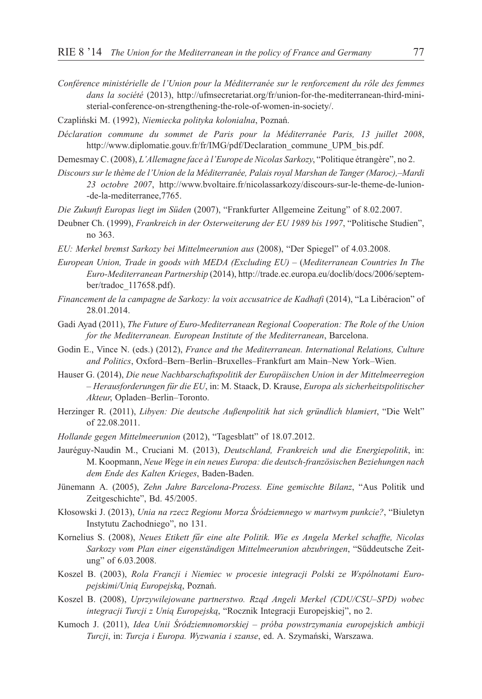- *Conférence ministérielle de l'Union pour la Méditerranée sur le renforcement du rôle des femmes dans la société* (2013), http://ufmsecretariat.org/fr/union-for-the-mediterranean-third-ministerial-conference-on-strengthening-the-role-of-women-in-society/.
- Czapliñski M. (1992), *Niemiecka polityka kolonialna*, Poznañ.
- *Déclaration commune du sommet de Paris pour la Méditerranée Paris, 13 juillet 2008*, http://www.diplomatie.gouv.fr/fr/IMG/pdf/Declaration\_commune\_UPM\_bis.pdf.
- Demesmay C. (2008), *L'Allemagne face à l'Europe de Nicolas Sarkozy*, "Politique étrangère", no 2.
- *Discours sur le thème de l'Union de la Méditerranée, Palais royal Marshan de Tanger (Maroc),–Mardi 23 octobre 2007*, http://www.bvoltaire.fr/nicolassarkozy/discours-sur-le-theme-de-lunion- -de-la-mediterranee,7765.
- *Die Zukunft Europas liegt im Süden* (2007), "Frankfurter Allgemeine Zeitung" of 8.02.2007.
- Deubner Ch. (1999), *Frankreich in der Osterweiterung der EU 1989 bis 1997*, "Politische Studien", no 363.
- *EU: Merkel bremst Sarkozy bei Mittelmeerunion aus* (2008), "Der Spiegel" of 4.03.2008.
- *European Union, Trade in goods with MEDA (Excluding EU) –* (*Mediterranean Countries In The Euro-Mediterranean Partnership* (2014), http://trade.ec.europa.eu/doclib/docs/2006/september/tradoc\_117658.pdf).
- *Financement de la campagne de Sarkozy: la voix accusatrice de Kadhafi* (2014), "La Libéracion" of 28.01.2014.
- Gadi Ayad (2011), *The Future of Euro-Mediterranean Regional Cooperation: The Role of the Union for the Mediterranean. European Institute of the Mediterranean*, Barcelona.
- Godin E., Vince N. (eds.) (2012), *France and the Mediterranean. International Relations, Culture and Politics*, Oxford–Bern–Berlin–Bruxelles–Frankfurt am Main–New York–Wien.
- Hauser G. (2014), *Die neue Nachbarschaftspolitik der Europäischen Union in der Mittelmeerregion – Herausforderungen für die EU*, in: M. Staack, D. Krause, *Europa als sicherheitspolitischer Akteur*, Opladen–Berlin–Toronto.
- Herzinger R. (2011), *Libyen: Die deutsche Außenpolitik hat sich gründlich blamiert*, "Die Welt" of 22.08.2011.
- *Hollande gegen Mittelmeerunion* (2012), "Tagesblatt" of 18.07.2012.
- Jauréguy-Naudin M., Cruciani M. (2013), *Deutschland, Frankreich und die Energiepolitik*, in: M. Koopmann, *Neue Wege in ein neues Europa: die deutsch-französischen Beziehungen nach dem Ende des Kalten Krieges*, Baden-Baden.
- Jünemann A. (2005), *Zehn Jahre Barcelona-Prozess. Eine gemischte Bilanz*, "Aus Politik und Zeitgeschichte", Bd. 45/2005.
- K³osowski J. (2013), *Unia na rzecz Regionu Morza Œródziemnego w martwym punkcie?*, "Biuletyn Instytutu Zachodniego", no 131.
- Kornelius S. (2008), *Neues Etikett fûr eine alte Politik. Wie es Angela Merkel schaffte, Nicolas Sarkozy vom Plan einer eigenständigen Mittelmeerunion abzubringen*, "Sûddeutsche Zeitung" of 6.03.2008.
- Koszel B. (2003), *Rola Francji i Niemiec w procesie integracji Polski ze Wspólnotami Europejskimi/Uni¹ Europejsk¹*, Poznañ.
- Koszel B. (2008), *Uprzywilejowane partnerstwo. Rząd Angeli Merkel (CDU/CSU–SPD) wobec integracji Turcji z Uni¹ Europejsk¹*, "Rocznik Integracji Europejskiej", no 2.
- Kumoch J. (2011), *Idea Unii Śródziemnomorskiej próba powstrzymania europejskich ambicji Turcji*, in: *Turcja i Europa. Wyzwania i szanse*, ed. A. Szymañski, Warszawa.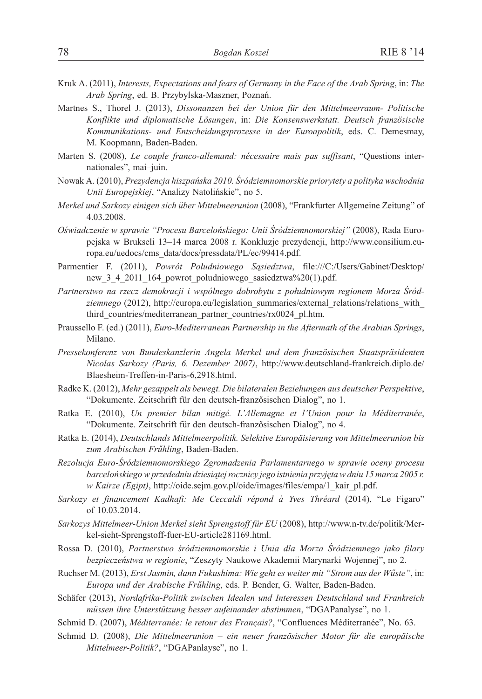- Kruk A. (2011), *Interests, Expectations and fears of Germany in the Face of the Arab Spring*, in: *The Arab Spring*, ed. B. Przybylska-Maszner, Poznañ.
- Martnes S., Thorel J. (2013), *Dissonanzen bei der Union für den Mittelmeerraum- Politische Konflikte und diplomatische Lösungen*, in: *Die Konsenswerkstatt. Deutsch französische Kommunikations- und Entscheidungsprozesse in der Euroapolitik*, eds. C. Demesmay, M. Koopmann, Baden-Baden.
- Marten S. (2008), *Le couple franco-allemand: nécessaire mais pas suffisant*, "Questions internationales", mai–juin.
- Nowak A. (2010), *Prezydencja hiszpañska 2010. Œródziemnomorskie priorytety a polityka wschodnia Unii Europejskiej*, "Analizy Natoliñskie", no 5.
- *Merkel und Sarkozy einigen sich über Mittelmeerunion* (2008), "Frankfurter Allgemeine Zeitung" of 4.03.2008.
- *Oœwiadczenie w sprawie "Procesu Barceloñskiego: Unii Œródziemnomorskiej"* (2008), Rada Europejska w Brukseli 13–14 marca 2008 r. Konkluzje prezydencji, http://www.consilium.europa.eu/uedocs/cms\_data/docs/pressdata/PL/ec/99414.pdf.
- Parmentier F. (2011), *Powrót Południowego Sąsiedztwa*, file:///C:/Users/Gabinet/Desktop/ new 3 4 2011 164 powrot poludniowego sasiedztwa%20(1).pdf.
- Partnerstwo na rzecz demokracji i wspólnego dobrobytu z południowym regionem Morza Śród*ziemnego* (2012), http://europa.eu/legislation\_summaries/external\_relations/relations\_with\_ third\_countries/mediterranean\_partner\_countries/rx0024\_pl.htm.
- Praussello F. (ed.) (2011), *Euro-Mediterranean Partnership in the Aftermath of the Arabian Springs*, Milano.
- *Pressekonferenz von Bundeskanzlerin Angela Merkel und dem französischen Staatspräsidenten Nicolas Sarkozy (Paris, 6. Dezember 2007)*, http://www.deutschland-frankreich.diplo.de/ Blaesheim-Treffen-in-Paris-6,2918.html.
- Radke K. (2012), *Mehr gezappelt als bewegt. Die bilateralen Beziehungen aus deutscher Perspektive*, "Dokumente. Zeitschrift für den deutsch-franzõsischen Dialog", no 1.
- Ratka E. (2010), *Un premier bilan mitigé. L'Allemagne et l'Union pour la Méditerranée*, "Dokumente. Zeitschrift für den deutsch-franzõsischen Dialog", no 4.
- Ratka E. (2014), *Deutschlands Mittelmeerpolitik. Selektive Europäisierung von Mittelmeerunion bis zum Arabischen Frûhling*, Baden-Baden.
- *Rezolucja Euro-Œródziemnomorskiego Zgromadzenia Parlamentarnego w sprawie oceny procesu* barcelońskiego w przededniu dziesiątej rocznicy jego istnienia przyjęta w dniu 15 marca 2005 r. *w Kairze (Egipt)*, http://oide.sejm.gov.pl/oide/images/files/empa/1\_kair\_pl.pdf.
- *Sarkozy et financement Kadhafi: Me Ceccaldi répond à Yves Thréard* (2014), "Le Figaro" of 10.03.2014.
- *Sarkozys Mittelmeer-Union Merkel sieht Sprengstoff für EU* (2008), http://www.n-tv.de/politik/Merkel-sieht-Sprengstoff-fuer-EU-article281169.html.
- Rossa D. (2010), *Partnerstwo œródziemnomorskie i Unia dla Morza Œródziemnego jako filary bezpieczeñstwa w regionie*, "Zeszyty Naukowe Akademii Marynarki Wojennej", no 2.
- Ruchser M. (2013), *Erst Jasmin, dann Fukushima: Wie geht es weiter mit "Strom aus der Wûste"*, in: *Europa und der Arabische Frûhling*, eds. P. Bender, G. Walter, Baden-Baden.
- Schäfer (2013), *Nordafrika-Politik zwischen Idealen und Interessen Deutschland und Frankreich müssen ihre Unterstützung besser aufeinander abstimmen*, "DGAPanalyse", no 1.
- Schmid D. (2007), *Méditerranée: le retour des Français?*, "Confluences Méditerranée", No. 63.
- Schmid D. (2008), *Die Mittelmeerunion ein neuer französischer Motor für die europäische Mittelmeer-Politik?*, "DGAPanlayse", no 1.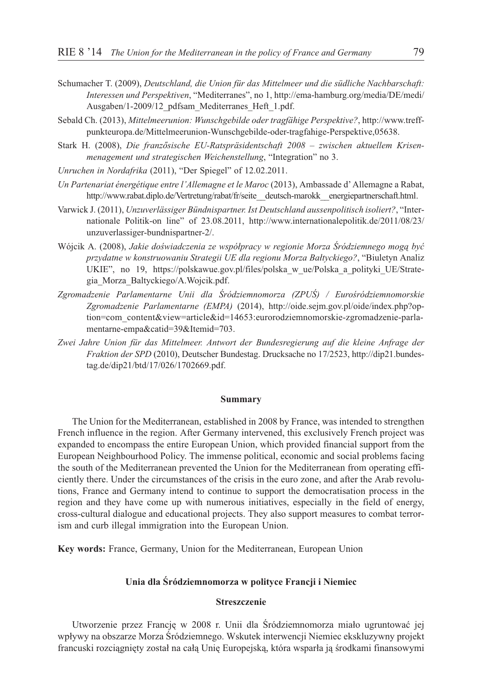- Schumacher T. (2009), *Deutschland, die Union für das Mittelmeer und die südliche Nachbarschaft: Interessen und Perspektiven*, "Mediterranes", no 1, http://ema-hamburg.org/media/DE/medi/ Ausgaben/1-2009/12\_pdfsam\_Mediterranes\_Heft\_1.pdf.
- Sebald Ch. (2013), *Mittelmeerunion: Wunschgebilde oder tragfähige Perspektive?*, http://www.treffpunkteuropa.de/Mittelmeerunion-Wunschgebilde-oder-tragfahige-Perspektive,05638.
- Stark H. (2008), *Die franzõsische EU-Ratspräsidentschaft 2008 zwischen aktuellem Krisenmenagement und strategischen Weichenstellung*, "Integration" no 3.
- *Unruchen in Nordafrika* (2011), "Der Spiegel" of 12.02.2011.
- *Un Partenariat énergétique entre l'Allemagne et le Maroc* (2013), Ambassade d' Allemagne a Rabat, http://www.rabat.diplo.de/Vertretung/rabat/fr/seite\_\_deutsch-marokk\_\_energiepartnerschaft.html.
- Varwick J. (2011), *Unzuverlässiger Bündnispartner. Ist Deutschland aussenpolitisch isoliert?*, "Internationale Politik-on line" of 23.08.2011, http://www.internationalepolitik.de/2011/08/23/ unzuverlassiger-bundnispartner-2/.
- Wójcik A. (2008), *Jakie doświadczenia ze współpracy w regionie Morza Śródziemnego moga być* przydatne w konstruowaniu Strategii UE dla regionu Morza Bałtyckiego?, "Biuletyn Analiz UKIE", no 19, https://polskawue.gov.pl/files/polska\_w\_ue/Polska\_a\_polityki\_UE/Strategia\_Morza\_Baltyckiego/A.Wojcik.pdf.
- Zgromadzenie Parlamentarne Unii dla Śródziemnomorza (ZPUŚ) / Eurośródziemnomorskie *Zgromadzenie Parlamentarne (EMPA)* (2014), http://oide.sejm.gov.pl/oide/index.php?option=com\_content&view=article&id=14653:eurorodziemnomorskie-zgromadzenie-parlamentarne-empa&catid=39&Itemid=703.
- *Zwei Jahre Union für das Mittelmeer. Antwort der Bundesregierung auf die kleine Anfrage der Fraktion der SPD* (2010), Deutscher Bundestag. Drucksache no 17/2523, http://dip21.bundestag.de/dip21/btd/17/026/1702669.pdf.

## **Summary**

The Union for the Mediterranean, established in 2008 by France, was intended to strengthen French influence in the region. After Germany intervened, this exclusively French project was expanded to encompass the entire European Union, which provided financial support from the European Neighbourhood Policy. The immense political, economic and social problems facing the south of the Mediterranean prevented the Union for the Mediterranean from operating efficiently there. Under the circumstances of the crisis in the euro zone, and after the Arab revolutions, France and Germany intend to continue to support the democratisation process in the region and they have come up with numerous initiatives, especially in the field of energy, cross-cultural dialogue and educational projects. They also support measures to combat terrorism and curb illegal immigration into the European Union.

**Key words:** France, Germany, Union for the Mediterranean, European Union

## **Unia dla Œródziemnomorza w polityce Francji i Niemiec**

## **Streszczenie**

Utworzenie przez Francję w 2008 r. Unii dla Śródziemnomorza miało ugruntować jej wpływy na obszarze Morza Śródziemnego. Wskutek interwencji Niemiec ekskluzywny projekt francuski rozciagnięty został na całą Unię Europejską, która wsparła ją środkami finansowymi